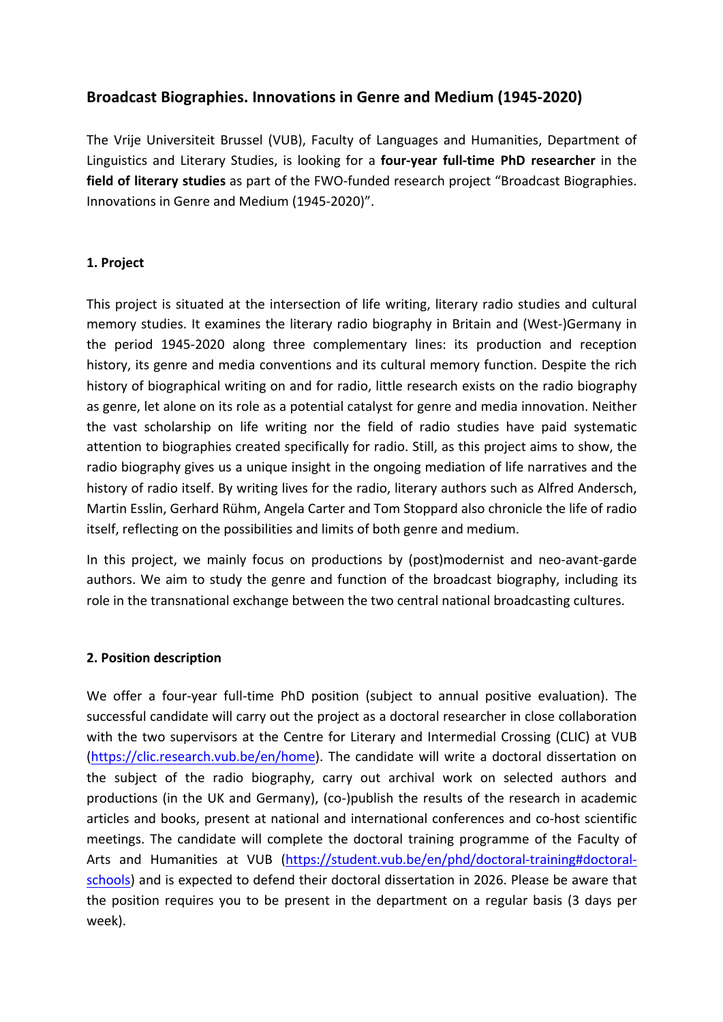# Broadcast Biographies. Innovations in Genre and Medium (1945-2020)

The Vrije Universiteit Brussel (VUB), Faculty of Languages and Humanities, Department of Linguistics and Literary Studies, is looking for a **four-year full-time PhD researcher** in the **field of literary studies** as part of the FWO-funded research project "Broadcast Biographies. Innovations in Genre and Medium (1945-2020)".

### **1. Project**

This project is situated at the intersection of life writing, literary radio studies and cultural memory studies. It examines the literary radio biography in Britain and (West-)Germany in the period 1945-2020 along three complementary lines: its production and reception history, its genre and media conventions and its cultural memory function. Despite the rich history of biographical writing on and for radio, little research exists on the radio biography as genre, let alone on its role as a potential catalyst for genre and media innovation. Neither the vast scholarship on life writing nor the field of radio studies have paid systematic attention to biographies created specifically for radio. Still, as this project aims to show, the radio biography gives us a unique insight in the ongoing mediation of life narratives and the history of radio itself. By writing lives for the radio, literary authors such as Alfred Andersch, Martin Esslin, Gerhard Rühm, Angela Carter and Tom Stoppard also chronicle the life of radio itself, reflecting on the possibilities and limits of both genre and medium.

In this project, we mainly focus on productions by (post)modernist and neo-avant-garde authors. We aim to study the genre and function of the broadcast biography, including its role in the transnational exchange between the two central national broadcasting cultures.

#### **2. Position description**

We offer a four-year full-time PhD position (subject to annual positive evaluation). The successful candidate will carry out the project as a doctoral researcher in close collaboration with the two supervisors at the Centre for Literary and Intermedial Crossing (CLIC) at VUB (https://clic.research.vub.be/en/home). The candidate will write a doctoral dissertation on the subject of the radio biography, carry out archival work on selected authors and productions (in the UK and Germany), (co-)publish the results of the research in academic articles and books, present at national and international conferences and co-host scientific meetings. The candidate will complete the doctoral training programme of the Faculty of Arts and Humanities at VUB (https://student.vub.be/en/phd/doctoral-training#doctoralschools) and is expected to defend their doctoral dissertation in 2026. Please be aware that the position requires you to be present in the department on a regular basis (3 days per week).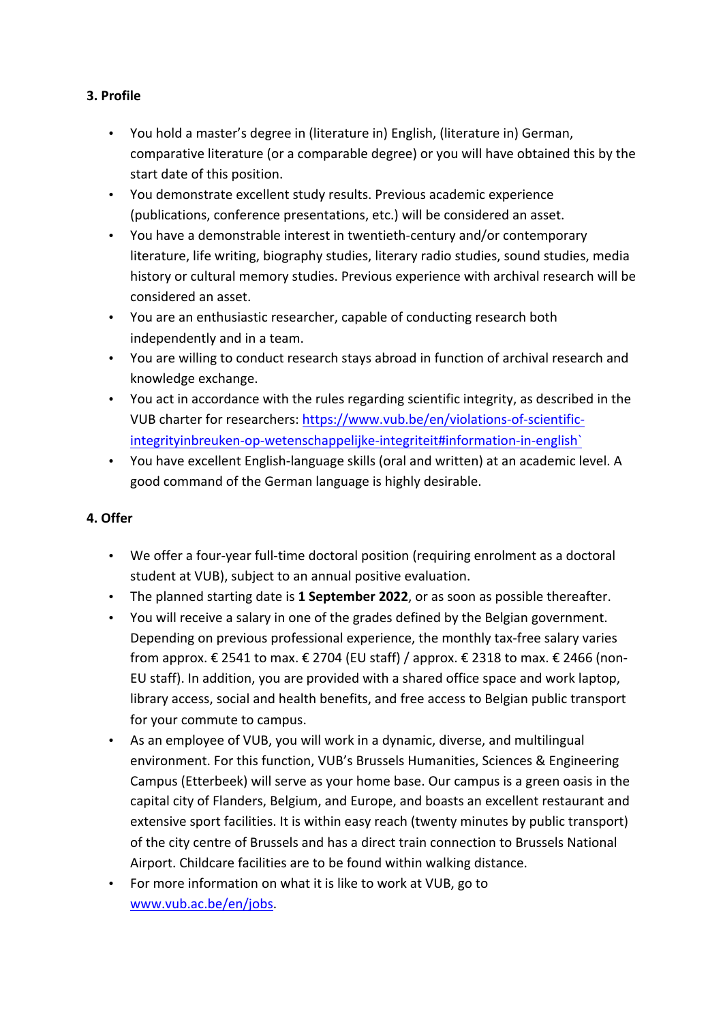### **3. Profile**

- You hold a master's degree in (literature in) English, (literature in) German, comparative literature (or a comparable degree) or you will have obtained this by the start date of this position.
- You demonstrate excellent study results. Previous academic experience (publications, conference presentations, etc.) will be considered an asset.
- You have a demonstrable interest in twentieth-century and/or contemporary literature, life writing, biography studies, literary radio studies, sound studies, media history or cultural memory studies. Previous experience with archival research will be considered an asset.
- You are an enthusiastic researcher, capable of conducting research both independently and in a team.
- You are willing to conduct research stays abroad in function of archival research and knowledge exchange.
- You act in accordance with the rules regarding scientific integrity, as described in the VUB charter for researchers: https://www.vub.be/en/violations-of-scientificintegrityinbreuken-op-wetenschappelijke-integriteit#information-in-english`
- You have excellent English-language skills (oral and written) at an academic level. A good command of the German language is highly desirable.

# **4. Offer**

- We offer a four-year full-time doctoral position (requiring enrolment as a doctoral student at VUB), subject to an annual positive evaluation.
- The planned starting date is 1 September 2022, or as soon as possible thereafter.
- You will receive a salary in one of the grades defined by the Belgian government. Depending on previous professional experience, the monthly tax-free salary varies from approx.  $\epsilon$  2541 to max.  $\epsilon$  2704 (EU staff) / approx.  $\epsilon$  2318 to max.  $\epsilon$  2466 (non-EU staff). In addition, you are provided with a shared office space and work laptop, library access, social and health benefits, and free access to Belgian public transport for your commute to campus.
- As an employee of VUB, you will work in a dynamic, diverse, and multilingual environment. For this function, VUB's Brussels Humanities, Sciences & Engineering Campus (Etterbeek) will serve as your home base. Our campus is a green oasis in the capital city of Flanders, Belgium, and Europe, and boasts an excellent restaurant and extensive sport facilities. It is within easy reach (twenty minutes by public transport) of the city centre of Brussels and has a direct train connection to Brussels National Airport. Childcare facilities are to be found within walking distance.
- For more information on what it is like to work at VUB, go to www.vub.ac.be/en/jobs.